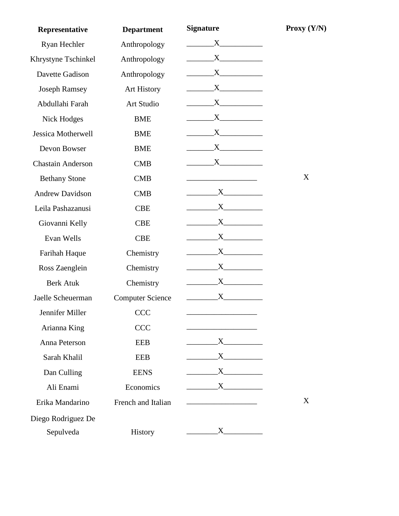| Representative            | <b>Department</b>       | <b>Signature</b>        | Proxy $(Y/N)$ |
|---------------------------|-------------------------|-------------------------|---------------|
| Ryan Hechler              | Anthropology            | $X \quad \qquad$        |               |
| Khrystyne Tschinkel       | Anthropology            | $X \sim$                |               |
| Davette Gadison           | Anthropology            | $X \sim$                |               |
| <b>Joseph Ramsey</b>      | <b>Art History</b>      | $X_{\cdot}$             |               |
| Abdullahi Farah           | Art Studio              | X                       |               |
| Nick Hodges               | <b>BME</b>              | $X$ <sub>1</sub>        |               |
| <b>Jessica Motherwell</b> | <b>BME</b>              | $X$ <sub>1</sub>        |               |
| Devon Bowser              | <b>BME</b>              | $X$ <sub>1</sub>        |               |
| <b>Chastain Anderson</b>  | CMB                     | $X_{--}$                |               |
| <b>Bethany Stone</b>      | <b>CMB</b>              |                         | X             |
| <b>Andrew Davidson</b>    | <b>CMB</b>              | X                       |               |
| Leila Pashazanusi         | <b>CBE</b>              | X                       |               |
| Giovanni Kelly            | <b>CBE</b>              | $X_{-}$                 |               |
| Evan Wells                | <b>CBE</b>              | $X \sim$                |               |
| Farihah Haque             | Chemistry               | $X$ and $X$             |               |
| Ross Zaenglein            | Chemistry               | $X$ and $X$             |               |
| <b>Berk Atuk</b>          | Chemistry               | $X$ and $X$             |               |
| Jaelle Scheuerman         | <b>Computer Science</b> | $X_{--}$                |               |
| Jennifer Miller           | <b>CCC</b>              |                         |               |
| Arianna King              | <b>CCC</b>              |                         |               |
| Anna Peterson             | <b>EEB</b>              | $X \sim$                |               |
| Sarah Khalil              | <b>EEB</b>              | $\mathbf{X}$            |               |
| Dan Culling               | <b>EENS</b>             | $\overline{\mathbf{X}}$ |               |
| Ali Enami                 | Economics               | $\mathbf{X}$            |               |
| Erika Mandarino           | French and Italian      |                         | X             |
| Diego Rodriguez De        |                         |                         |               |
| Sepulveda                 | History                 | $X \sim$                |               |